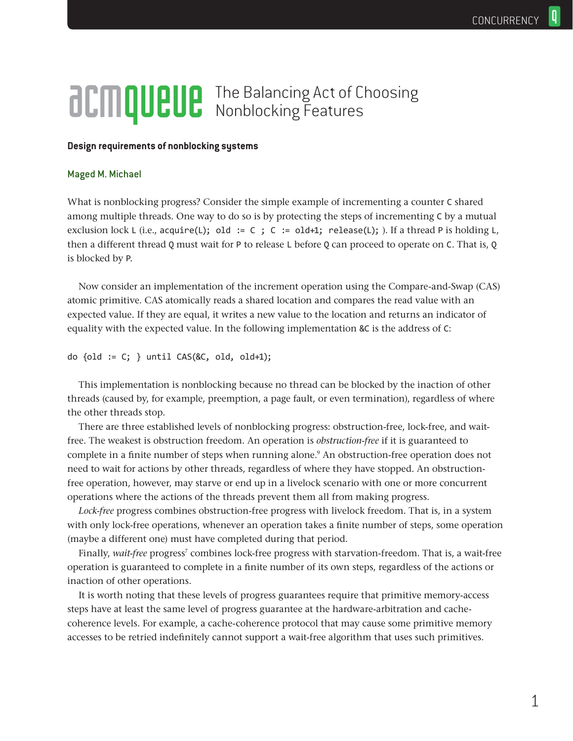# The Balancing Act of Choosing Nonblocking Features

## **Design requirements of nonblocking systems**

## Maged M. Michael

What is nonblocking progress? Consider the simple example of incrementing a counter C shared among multiple threads. One way to do so is by protecting the steps of incrementing C by a mutual exclusion lock L (i.e., acquire(L); old := C ; C := old+1; release(L); ). If a thread P is holding L, then a different thread Q must wait for P to release L before Q can proceed to operate on C. That is, Q is blocked by P.

Now consider an implementation of the increment operation using the Compare-and-Swap (CAS) atomic primitive. CAS atomically reads a shared location and compares the read value with an expected value. If they are equal, it writes a new value to the location and returns an indicator of equality with the expected value. In the following implementation &C is the address of C:

```
do {old := C; } until CAS(&C, old, old+1);
```
This implementation is nonblocking because no thread can be blocked by the inaction of other threads (caused by, for example, preemption, a page fault, or even termination), regardless of where the other threads stop.

There are three established levels of nonblocking progress: obstruction-free, lock-free, and waitfree. The weakest is obstruction freedom. An operation is *obstruction-free* if it is guaranteed to complete in a finite number of steps when running alone.9 An obstruction-free operation does not need to wait for actions by other threads, regardless of where they have stopped. An obstructionfree operation, however, may starve or end up in a livelock scenario with one or more concurrent operations where the actions of the threads prevent them all from making progress.

*Lock-free* progress combines obstruction-free progress with livelock freedom. That is, in a system with only lock-free operations, whenever an operation takes a finite number of steps, some operation (maybe a different one) must have completed during that period.

Finally, *wait-free* progress<sup>7</sup> combines lock-free progress with starvation-freedom. That is, a wait-free operation is guaranteed to complete in a finite number of its own steps, regardless of the actions or inaction of other operations.

It is worth noting that these levels of progress guarantees require that primitive memory-access steps have at least the same level of progress guarantee at the hardware-arbitration and cachecoherence levels. For example, a cache-coherence protocol that may cause some primitive memory accesses to be retried indefinitely cannot support a wait-free algorithm that uses such primitives.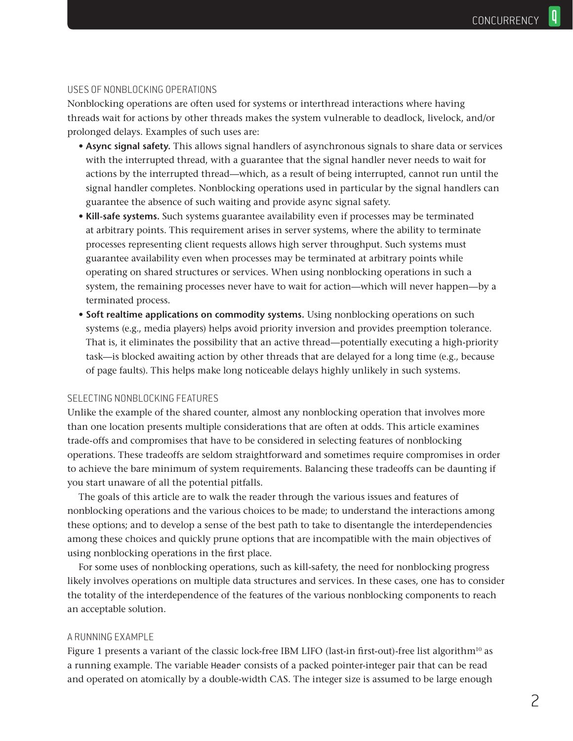## USES OF NONBLOCKING OPERATIONS

Nonblocking operations are often used for systems or interthread interactions where having threads wait for actions by other threads makes the system vulnerable to deadlock, livelock, and/or prolonged delays. Examples of such uses are:

- **Async signal safety.** This allows signal handlers of asynchronous signals to share data or services with the interrupted thread, with a guarantee that the signal handler never needs to wait for actions by the interrupted thread—which, as a result of being interrupted, cannot run until the signal handler completes. Nonblocking operations used in particular by the signal handlers can guarantee the absence of such waiting and provide async signal safety.
- **Kill-safe systems.** Such systems guarantee availability even if processes may be terminated at arbitrary points. This requirement arises in server systems, where the ability to terminate processes representing client requests allows high server throughput. Such systems must guarantee availability even when processes may be terminated at arbitrary points while operating on shared structures or services. When using nonblocking operations in such a system, the remaining processes never have to wait for action—which will never happen—by a terminated process.
- **Soft realtime applications on commodity systems.** Using nonblocking operations on such systems (e.g., media players) helps avoid priority inversion and provides preemption tolerance. That is, it eliminates the possibility that an active thread—potentially executing a high-priority task—is blocked awaiting action by other threads that are delayed for a long time (e.g., because of page faults). This helps make long noticeable delays highly unlikely in such systems.

## SELECTING NONBLOCKING FEATURES

Unlike the example of the shared counter, almost any nonblocking operation that involves more than one location presents multiple considerations that are often at odds. This article examines trade-offs and compromises that have to be considered in selecting features of nonblocking operations. These tradeoffs are seldom straightforward and sometimes require compromises in order to achieve the bare minimum of system requirements. Balancing these tradeoffs can be daunting if you start unaware of all the potential pitfalls.

The goals of this article are to walk the reader through the various issues and features of nonblocking operations and the various choices to be made; to understand the interactions among these options; and to develop a sense of the best path to take to disentangle the interdependencies among these choices and quickly prune options that are incompatible with the main objectives of using nonblocking operations in the first place.

For some uses of nonblocking operations, such as kill-safety, the need for nonblocking progress likely involves operations on multiple data structures and services. In these cases, one has to consider the totality of the interdependence of the features of the various nonblocking components to reach an acceptable solution.

## A RUNNING EXAMPLE

Figure 1 presents a variant of the classic lock-free IBM LIFO (last-in first-out)-free list algorithm<sup>10</sup> as a running example. The variable Header consists of a packed pointer-integer pair that can be read and operated on atomically by a double-width CAS. The integer size is assumed to be large enough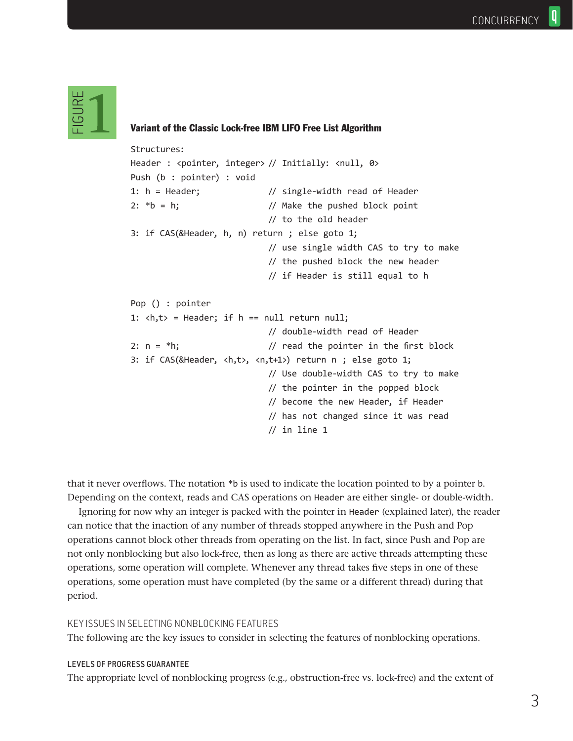

## Variant of the Classic Lock-free IBM LIFO Free List Algorithm

```
Structures:
Header : <pointer, integer> // Initially: <null, 0>
Push (b : pointer) : void
1: h = Header; \frac{1}{2} single-width read of Header
2: *b = h; // Make the pushed block point
                           // to the old header
3: if CAS(&Header, h, n) return ; else goto 1;
                           // use single width CAS to try to make 
                           // the pushed block the new header
                           // if Header is still equal to h
Pop () : pointer
1: \langle h, t \rangle = Header; if h = null return null;
                           // double-width read of Header
2: n = *h; \frac{1}{2} read the pointer in the first block
3: if CAS(&Header, <h,t>, <n,t+1>) return n ; else goto 1;
                           // Use double-width CAS to try to make
                           // the pointer in the popped block
                           // become the new Header, if Header
                           // has not changed since it was read
                           // in line 1
```
that it never overflows. The notation \*b is used to indicate the location pointed to by a pointer b. Depending on the context, reads and CAS operations on Header are either single- or double-width.

Ignoring for now why an integer is packed with the pointer in Header (explained later), the reader can notice that the inaction of any number of threads stopped anywhere in the Push and Pop operations cannot block other threads from operating on the list. In fact, since Push and Pop are not only nonblocking but also lock-free, then as long as there are active threads attempting these operations, some operation will complete. Whenever any thread takes five steps in one of these operations, some operation m operations, some operation will complete. Whenever any thread takes five steps in one of these operations, some operation must have completed (by the same or a different thread) during that period. Ending on the context, reads and CAS operations on Header are either single- or double-w<br>noring for now why an integer is packed with the pointer in Header (explained later), the<br>notice that the inaction of any number of t

## KEY ISSUES IN SELECTING NONBLOCKING FEATURES

The following are the key issues to consider in selecting the features of nonblocking operations.

## LEVELS OF PROGRESS GUARANTEE

The appropriate level of nonblocking progress (e.g., obstruction-free vs. lock-free) and the extent of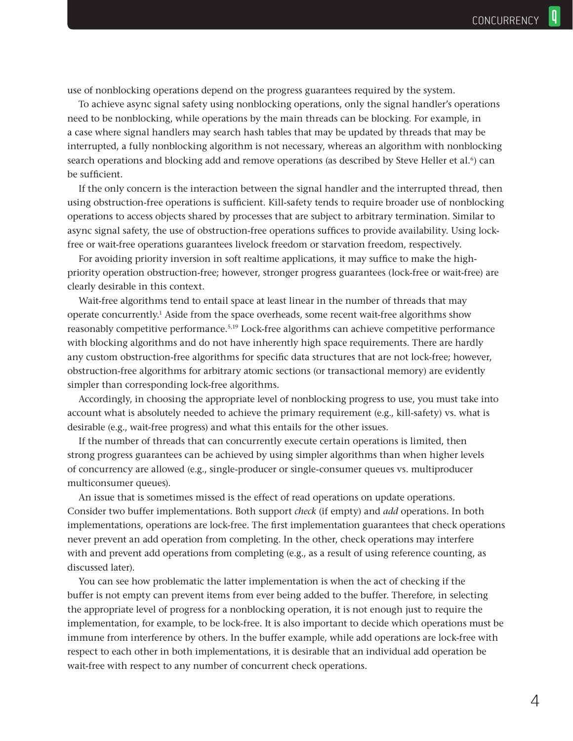use of nonblocking operations depend on the progress guarantees required by the system.

To achieve async signal safety using nonblocking operations, only the signal handler's operations need to be nonblocking, while operations by the main threads can be blocking. For example, in a case where signal handlers may search hash tables that may be updated by threads that may be interrupted, a fully nonblocking algorithm is not necessary, whereas an algorithm with nonblocking search operations and blocking add and remove operations (as described by Steve Heller et al.<sup>6</sup>) can be sufficient.

If the only concern is the interaction between the signal handler and the interrupted thread, then using obstruction-free operations is sufficient. Kill-safety tends to require broader use of nonblocking operations to access objects shared by processes that are subject to arbitrary termination. Similar to async signal safety, the use of obstruction-free operations suffices to provide availability. Using lockfree or wait-free operations guarantees livelock freedom or starvation freedom, respectively.

For avoiding priority inversion in soft realtime applications, it may suffice to make the highpriority operation obstruction-free; however, stronger progress guarantees (lock-free or wait-free) are clearly desirable in this context.

Wait-free algorithms tend to entail space at least linear in the number of threads that may operate concurrently.1 Aside from the space overheads, some recent wait-free algorithms show reasonably competitive performance.5,19 Lock-free algorithms can achieve competitive performance with blocking algorithms and do not have inherently high space requirements. There are hardly any custom obstruction-free algorithms for specific data structures that are not lock-free; however, obstruction-free algorithms for arbitrary atomic sections (or transactional memory) are evidently simpler than corresponding lock-free algorithms.

Accordingly, in choosing the appropriate level of nonblocking progress to use, you must take into account what is absolutely needed to achieve the primary requirement (e.g., kill-safety) vs. what is desirable (e.g., wait-free progress) and what this entails for the other issues.

If the number of threads that can concurrently execute certain operations is limited, then strong progress guarantees can be achieved by using simpler algorithms than when higher levels of concurrency are allowed (e.g., single-producer or single-consumer queues vs. multiproducer multiconsumer queues).

An issue that is sometimes missed is the effect of read operations on update operations. Consider two buffer implementations. Both support *check* (if empty) and *add* operations. In both implementations, operations are lock-free. The first implementation guarantees that check operations never prevent an add operation from completing. In the other, check operations may interfere with and prevent add operations from completing (e.g., as a result of using reference counting, as discussed later).

You can see how problematic the latter implementation is when the act of checking if the buffer is not empty can prevent items from ever being added to the buffer. Therefore, in selecting the appropriate level of progress for a nonblocking operation, it is not enough just to require the implementation, for example, to be lock-free. It is also important to decide which operations must be immune from interference by others. In the buffer example, while add operations are lock-free with respect to each other in both implementations, it is desirable that an individual add operation be wait-free with respect to any number of concurrent check operations.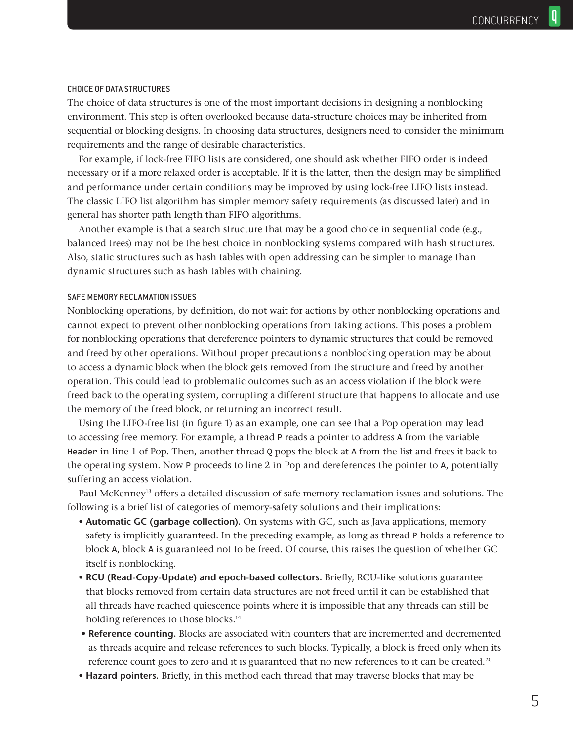#### CHOICE OF DATA STRUCTURES

The choice of data structures is one of the most important decisions in designing a nonblocking environment. This step is often overlooked because data-structure choices may be inherited from sequential or blocking designs. In choosing data structures, designers need to consider the minimum requirements and the range of desirable characteristics.

For example, if lock-free FIFO lists are considered, one should ask whether FIFO order is indeed necessary or if a more relaxed order is acceptable. If it is the latter, then the design may be simplified and performance under certain conditions may be improved by using lock-free LIFO lists instead. The classic LIFO list algorithm has simpler memory safety requirements (as discussed later) and in general has shorter path length than FIFO algorithms.

Another example is that a search structure that may be a good choice in sequential code (e.g., balanced trees) may not be the best choice in nonblocking systems compared with hash structures. Also, static structures such as hash tables with open addressing can be simpler to manage than dynamic structures such as hash tables with chaining.

#### SAFE MEMORY RECLAMATION ISSUES

Nonblocking operations, by definition, do not wait for actions by other nonblocking operations and cannot expect to prevent other nonblocking operations from taking actions. This poses a problem for nonblocking operations that dereference pointers to dynamic structures that could be removed and freed by other operations. Without proper precautions a nonblocking operation may be about to access a dynamic block when the block gets removed from the structure and freed by another operation. This could lead to problematic outcomes such as an access violation if the block were freed back to the operating system, corrupting a different structure that happens to allocate and use the memory of the freed block, or returning an incorrect result.

Using the LIFO-free list (in figure 1) as an example, one can see that a Pop operation may lead to accessing free memory. For example, a thread P reads a pointer to address A from the variable Header in line 1 of Pop. Then, another thread Q pops the block at A from the list and frees it back to the operating system. Now P proceeds to line 2 in Pop and dereferences the pointer to A, potentially suffering an access violation.

Paul McKenney13 offers a detailed discussion of safe memory reclamation issues and solutions. The following is a brief list of categories of memory-safety solutions and their implications:

- **Automatic GC (garbage collection).** On systems with GC, such as Java applications, memory safety is implicitly guaranteed. In the preceding example, as long as thread P holds a reference to block A, block A is guaranteed not to be freed. Of course, this raises the question of whether GC itself is nonblocking.
- **RCU (Read-Copy-Update) and epoch-based collectors.** Briefly, RCU-like solutions guarantee that blocks removed from certain data structures are not freed until it can be established that all threads have reached quiescence points where it is impossible that any threads can still be holding references to those blocks.<sup>14</sup>
- **Reference counting.** Blocks are associated with counters that are incremented and decremented as threads acquire and release references to such blocks. Typically, a block is freed only when its reference count goes to zero and it is guaranteed that no new references to it can be created.<sup>20</sup>
- **Hazard pointers.** Briefly, in this method each thread that may traverse blocks that may be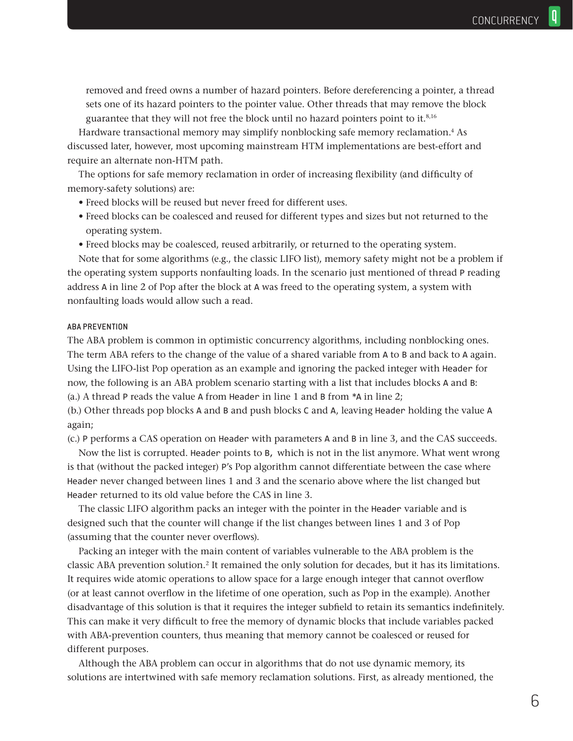removed and freed owns a number of hazard pointers. Before dereferencing a pointer, a thread sets one of its hazard pointers to the pointer value. Other threads that may remove the block guarantee that they will not free the block until no hazard pointers point to it.<sup>8,16</sup>

Hardware transactional memory may simplify nonblocking safe memory reclamation.<sup>4</sup> As discussed later, however, most upcoming mainstream HTM implementations are best-effort and require an alternate non-HTM path.

The options for safe memory reclamation in order of increasing flexibility (and difficulty of memory-safety solutions) are:

- Freed blocks will be reused but never freed for different uses.
- Freed blocks can be coalesced and reused for different types and sizes but not returned to the operating system.
- Freed blocks may be coalesced, reused arbitrarily, or returned to the operating system.

Note that for some algorithms (e.g., the classic LIFO list), memory safety might not be a problem if the operating system supports nonfaulting loads. In the scenario just mentioned of thread P reading address A in line 2 of Pop after the block at A was freed to the operating system, a system with nonfaulting loads would allow such a read.

## ABA PREVENTION

The ABA problem is common in optimistic concurrency algorithms, including nonblocking ones. The term ABA refers to the change of the value of a shared variable from A to B and back to A again. Using the LIFO-list Pop operation as an example and ignoring the packed integer with Header for now, the following is an ABA problem scenario starting with a list that includes blocks A and B: (a.) A thread P reads the value A from Header in line 1 and B from \*A in line 2;

(b.) Other threads pop blocks A and B and push blocks C and A, leaving Header holding the value A again;

(c.) P performs a CAS operation on Header with parameters A and B in line 3, and the CAS succeeds.

Now the list is corrupted. Header points to B, which is not in the list anymore. What went wrong is that (without the packed integer) P's Pop algorithm cannot differentiate between the case where Header never changed between lines 1 and 3 and the scenario above where the list changed but Header returned to its old value before the CAS in line 3.

The classic LIFO algorithm packs an integer with the pointer in the Header variable and is designed such that the counter will change if the list changes between lines 1 and 3 of Pop (assuming that the counter never overflows).

Packing an integer with the main content of variables vulnerable to the ABA problem is the classic ABA prevention solution.2 It remained the only solution for decades, but it has its limitations. It requires wide atomic operations to allow space for a large enough integer that cannot overflow (or at least cannot overflow in the lifetime of one operation, such as Pop in the example). Another disadvantage of this solution is that it requires the integer subfield to retain its semantics indefinitely. This can make it very difficult to free the memory of dynamic blocks that include variables packed with ABA-prevention counters, thus meaning that memory cannot be coalesced or reused for different purposes.

Although the ABA problem can occur in algorithms that do not use dynamic memory, its solutions are intertwined with safe memory reclamation solutions. First, as already mentioned, the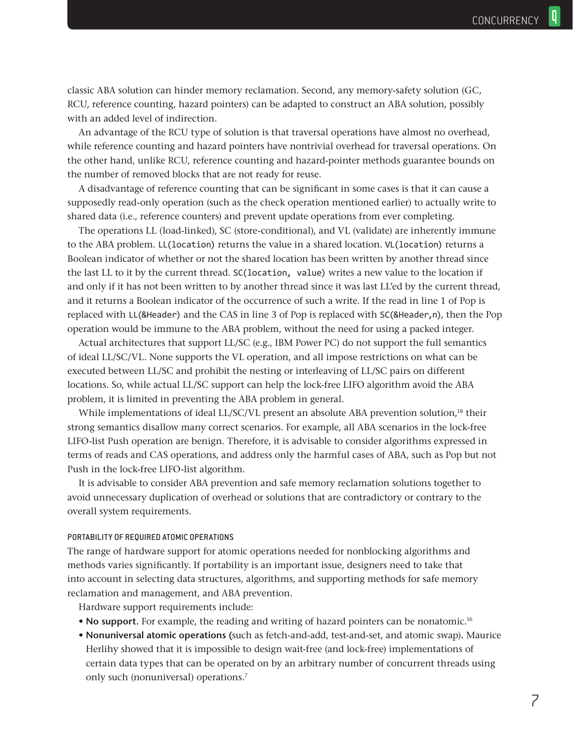CONCURRENCY

classic ABA solution can hinder memory reclamation. Second, any memory-safety solution (GC, RCU, reference counting, hazard pointers) can be adapted to construct an ABA solution, possibly with an added level of indirection.

An advantage of the RCU type of solution is that traversal operations have almost no overhead, while reference counting and hazard pointers have nontrivial overhead for traversal operations. On the other hand, unlike RCU, reference counting and hazard-pointer methods guarantee bounds on the number of removed blocks that are not ready for reuse.

A disadvantage of reference counting that can be significant in some cases is that it can cause a supposedly read-only operation (such as the check operation mentioned earlier) to actually write to shared data (i.e., reference counters) and prevent update operations from ever completing.

The operations LL (load-linked), SC (store-conditional), and VL (validate) are inherently immune to the ABA problem. LL(location) returns the value in a shared location. VL(location) returns a Boolean indicator of whether or not the shared location has been written by another thread since the last LL to it by the current thread. SC(location, value) writes a new value to the location if and only if it has not been written to by another thread since it was last LL'ed by the current thread, and it returns a Boolean indicator of the occurrence of such a write. If the read in line 1 of Pop is replaced with LL(&Header) and the CAS in line 3 of Pop is replaced with SC(&Header,n), then the Pop operation would be immune to the ABA problem, without the need for using a packed integer.

Actual architectures that support LL/SC (e.g., IBM Power PC) do not support the full semantics of ideal LL/SC/VL. None supports the VL operation, and all impose restrictions on what can be executed between LL/SC and prohibit the nesting or interleaving of LL/SC pairs on different locations. So, while actual LL/SC support can help the lock-free LIFO algorithm avoid the ABA problem, it is limited in preventing the ABA problem in general.

While implementations of ideal LL/SC/VL present an absolute ABA prevention solution,<sup>18</sup> their strong semantics disallow many correct scenarios. For example, all ABA scenarios in the lock-free LIFO-list Push operation are benign. Therefore, it is advisable to consider algorithms expressed in terms of reads and CAS operations, and address only the harmful cases of ABA, such as Pop but not Push in the lock-free LIFO-list algorithm.

It is advisable to consider ABA prevention and safe memory reclamation solutions together to avoid unnecessary duplication of overhead or solutions that are contradictory or contrary to the overall system requirements.

#### PORTABILITY OF REQUIRED ATOMIC OPERATIONS

The range of hardware support for atomic operations needed for nonblocking algorithms and methods varies significantly. If portability is an important issue, designers need to take that into account in selecting data structures, algorithms, and supporting methods for safe memory reclamation and management, and ABA prevention.

Hardware support requirements include:

- No support. For example, the reading and writing of hazard pointers can be nonatomic.<sup>16</sup>
- **Nonuniversal atomic operations (**such as fetch-and-add, test-and-set, and atomic swap)**.** Maurice Herlihy showed that it is impossible to design wait-free (and lock-free) implementations of certain data types that can be operated on by an arbitrary number of concurrent threads using only such (nonuniversal) operations.7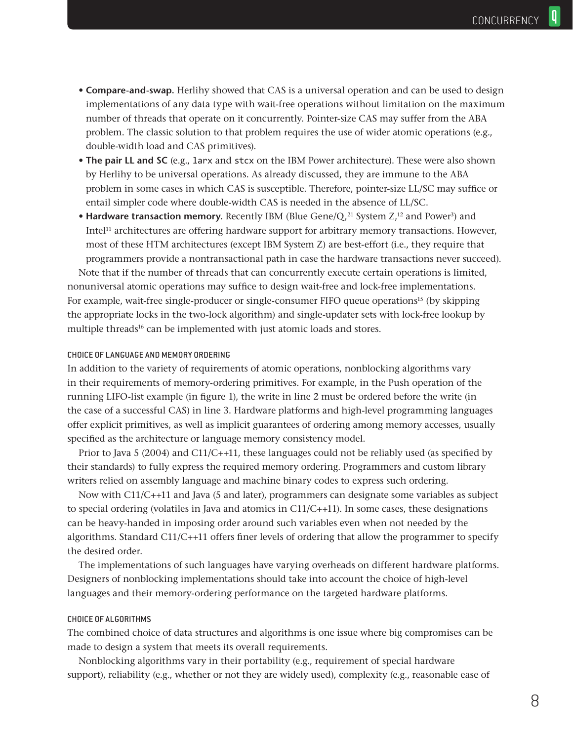- **Compare-and-swap.** Herlihy showed that CAS is a universal operation and can be used to design implementations of any data type with wait-free operations without limitation on the maximum number of threads that operate on it concurrently. Pointer-size CAS may suffer from the ABA problem. The classic solution to that problem requires the use of wider atomic operations (e.g., double-width load and CAS primitives).
- **The pair LL and SC** (e.g., larx and stcx on the IBM Power architecture). These were also shown by Herlihy to be universal operations. As already discussed, they are immune to the ABA problem in some cases in which CAS is susceptible. Therefore, pointer-size LL/SC may suffice or entail simpler code where double-width CAS is needed in the absence of LL/SC.
- **Hardware transaction memory.** Recently IBM (Blue Gene/Q,<sup>21</sup> System  $Z_i^{12}$  and Power<sup>3</sup>) and Intel<sup>11</sup> architectures are offering hardware support for arbitrary memory transactions. However, most of these HTM architectures (except IBM System Z) are best-effort (i.e., they require that programmers provide a nontransactional path in case the hardware transactions never succeed).

Note that if the number of threads that can concurrently execute certain operations is limited, nonuniversal atomic operations may suffice to design wait-free and lock-free implementations. For example, wait-free single-producer or single-consumer FIFO queue operations<sup>15</sup> (by skipping the appropriate locks in the two-lock algorithm) and single-updater sets with lock-free lookup by multiple threads<sup>16</sup> can be implemented with just atomic loads and stores.

## CHOICE OF LANGUAGE AND MEMORY ORDERING

In addition to the variety of requirements of atomic operations, nonblocking algorithms vary in their requirements of memory-ordering primitives. For example, in the Push operation of the running LIFO-list example (in figure 1), the write in line 2 must be ordered before the write (in the case of a successful CAS) in line 3. Hardware platforms and high-level programming languages offer explicit primitives, as well as implicit guarantees of ordering among memory accesses, usually specified as the architecture or language memory consistency model.

Prior to Java 5 (2004) and C11/C++11, these languages could not be reliably used (as specified by their standards) to fully express the required memory ordering. Programmers and custom library writers relied on assembly language and machine binary codes to express such ordering.

Now with C11/C++11 and Java (5 and later), programmers can designate some variables as subject to special ordering (volatiles in Java and atomics in C11/C++11). In some cases, these designations can be heavy-handed in imposing order around such variables even when not needed by the algorithms. Standard C11/C++11 offers finer levels of ordering that allow the programmer to specify the desired order.

The implementations of such languages have varying overheads on different hardware platforms. Designers of nonblocking implementations should take into account the choice of high-level languages and their memory-ordering performance on the targeted hardware platforms.

#### CHOICE OF ALGORITHMS

The combined choice of data structures and algorithms is one issue where big compromises can be made to design a system that meets its overall requirements.

Nonblocking algorithms vary in their portability (e.g., requirement of special hardware support), reliability (e.g., whether or not they are widely used), complexity (e.g., reasonable ease of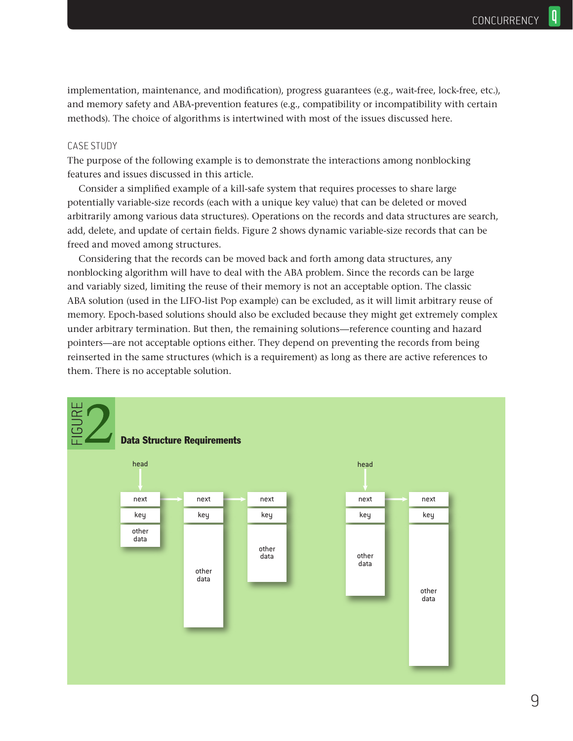$\mathbf{0}$ **CONCURRENCY** 

implementation, maintenance, and modification), progress guarantees (e.g., wait-free, lock-free, etc.), and memory safety and ABA-prevention features (e.g., compatibility or incompatibility with certain methods). The choice of algorithms is intertwined with most of the issues discussed here.

## CASE STUDY

The purpose of the following example is to demonstrate the interactions among nonblocking features and issues discussed in this article.

Consider a simplified example of a kill-safe system that requires processes to share large potentially variable-size records (each with a unique key value) that can be deleted or moved arbitrarily among various data structures). Operations on the records and data structures are search, add, delete, and update of certain fields. Figure 2 shows dynamic variable-size records that can be freed and moved among structures.

Considering that the records can be moved back and forth among data structures, any nonblocking algorithm will have to deal with the ABA problem. Since the records can be large and variably sized, limiting the reuse of their memory is not an acceptable option. The classic ABA solution (used in the LIFO-list Pop example) can be excluded, as it will limit arbitrary reuse of memory. Epoch-based solutions should also be excluded because they might get extremely complex under arbitrary termination. But then, the remaining solutions—reference counting and hazard pointers—are not acceptable options either. They depend on preventing the records from being reinserted in the same structures (which is a requirement) as long as there are active references to them. There is no acceptable solution.

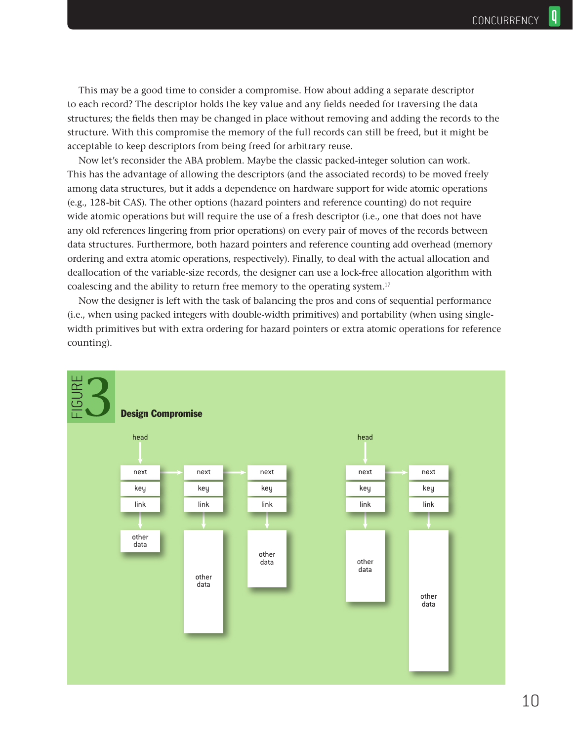This may be a good time to consider a compromise. How about adding a separate descriptor to each record? The descriptor holds the key value and any fields needed for traversing the data structures; the fields then may be changed in place without removing and adding the records to the structure. With this compromise the memory of the full records can still be freed, but it might be acceptable to keep descriptors from being freed for arbitrary reuse.

Now let's reconsider the ABA problem. Maybe the classic packed-integer solution can work. This has the advantage of allowing the descriptors (and the associated records) to be moved freely among data structures, but it adds a dependence on hardware support for wide atomic operations (e.g., 128-bit CAS). The other options (hazard pointers and reference counting) do not require wide atomic operations but will require the use of a fresh descriptor (i.e., one that does not have any old references lingering from prior operations) on every pair of moves of the records between data structures. Furthermore, both hazard pointers and reference counting add overhead (memory ordering and extra atomic operations, respectively). Finally, to deal with the actual allocation and deallocation of the variable-size records, the designer can use a lock-free allocation algorithm with coalescing and the ability to return free memory to the operating system.17

Now the designer is left with the task of balancing the pros and cons of sequential performance (i.e., when using packed integers with double-width primitives) and portability (when using singlewidth primitives but with extra ordering for hazard pointers or extra atomic operations for reference counting).

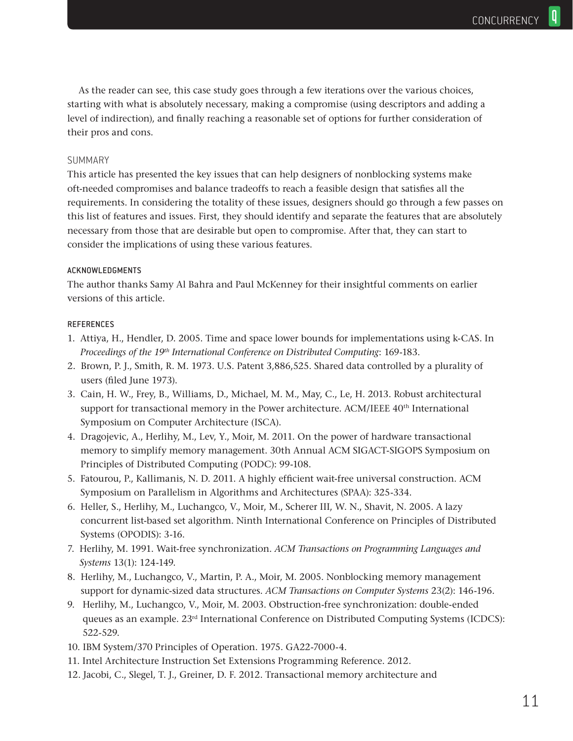As the reader can see, this case study goes through a few iterations over the various choices, starting with what is absolutely necessary, making a compromise (using descriptors and adding a level of indirection), and finally reaching a reasonable set of options for further consideration of their pros and cons.

## SUMMARY

This article has presented the key issues that can help designers of nonblocking systems make oft-needed compromises and balance tradeoffs to reach a feasible design that satisfies all the requirements. In considering the totality of these issues, designers should go through a few passes on this list of features and issues. First, they should identify and separate the features that are absolutely necessary from those that are desirable but open to compromise. After that, they can start to consider the implications of using these various features.

## ACKNOWLEDGMENTS

The author thanks Samy Al Bahra and Paul McKenney for their insightful comments on earlier versions of this article.

## **REFERENCES**

- 1. Attiya, H., Hendler, D. 2005. Time and space lower bounds for implementations using k-CAS. In *Proceedings of the 19th International Conference on Distributed Computing*: 169-183.
- 2. Brown, P. J., Smith, R. M. 1973. U.S. Patent 3,886,525. Shared data controlled by a plurality of users (filed June 1973).
- 3. Cain, H. W., Frey, B., Williams, D., Michael, M. M., May, C., Le, H. 2013. Robust architectural support for transactional memory in the Power architecture. ACM/IEEE 40<sup>th</sup> International Symposium on Computer Architecture (ISCA).
- 4. Dragojevic, A., Herlihy, M., Lev, Y., Moir, M. 2011. On the power of hardware transactional memory to simplify memory management. 30th Annual ACM SIGACT-SIGOPS Symposium on Principles of Distributed Computing (PODC): 99-108.
- 5. Fatourou, P., Kallimanis, N. D. 2011. A highly efficient wait-free universal construction. ACM Symposium on Parallelism in Algorithms and Architectures (SPAA): 325-334.
- 6. Heller, S., Herlihy, M., Luchangco, V., Moir, M., Scherer III, W. N., Shavit, N. 2005. A lazy concurrent list-based set algorithm. Ninth International Conference on Principles of Distributed Systems (OPODIS): 3-16.
- 7. Herlihy, M. 1991. Wait-free synchronization. *ACM Transactions on Programming Languages and Systems* 13(1): 124-149.
- 8. Herlihy, M., Luchangco, V., Martin, P. A., Moir, M. 2005. Nonblocking memory management support for dynamic-sized data structures. *ACM Transactions on Computer Systems* 23(2): 146-196.
- 9. Herlihy, M., Luchangco, V., Moir, M. 2003. Obstruction-free synchronization: double-ended queues as an example. 23rd International Conference on Distributed Computing Systems (ICDCS): 522-529.
- 10. IBM System/370 Principles of Operation. 1975. GA22-7000-4.
- 11. Intel Architecture Instruction Set Extensions Programming Reference. 2012.
- 12. Jacobi, C., Slegel, T. J., Greiner, D. F. 2012. Transactional memory architecture and